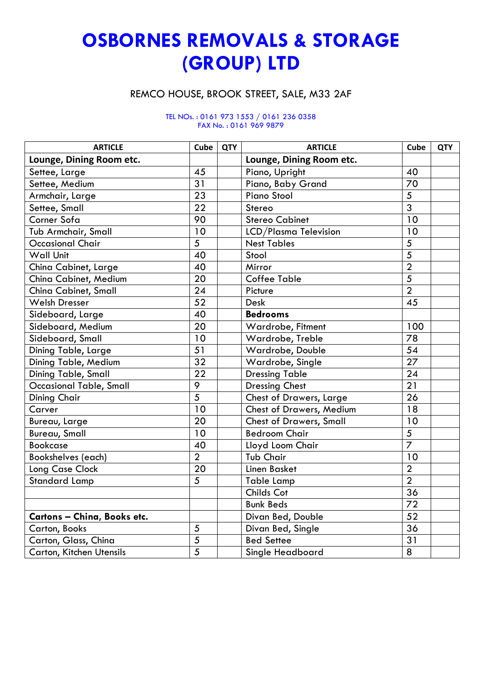## **OSBORNES REMOVALS & STORAGE (GROUP) LTD**

## REMCO HOUSE, BROOK STREET, SALE, M33 2AF

## TEL NOs. : 0161 973 1553 / 0161 236 0358 FAX No. : 0161 969 9879

| <b>ARTICLE</b>                 | Cube            | <b>QTY</b> | <b>ARTICLE</b>                 | Cube            | <b>QTY</b> |
|--------------------------------|-----------------|------------|--------------------------------|-----------------|------------|
| Lounge, Dining Room etc.       |                 |            | Lounge, Dining Room etc.       |                 |            |
| Settee, Large                  | 45              |            | Piano, Upright                 | 40              |            |
| Settee, Medium                 | 31              |            | Piano, Baby Grand              | 70              |            |
| Armchair, Large                | 23              |            | <b>Piano Stool</b>             | 5               |            |
| Settee, Small                  | $\overline{22}$ |            | Stereo                         | $\overline{3}$  |            |
| Corner Sofa                    | 90              |            | <b>Stereo Cabinet</b>          | 10              |            |
| Tub Armchair, Small            | 10              |            | LCD/Plasma Television          | 10              |            |
| <b>Occasional Chair</b>        | $\overline{5}$  |            | <b>Nest Tables</b>             | 5               |            |
| <b>Wall Unit</b>               | 40              |            | Stool                          | $\overline{5}$  |            |
| China Cabinet, Large           | 40              |            | Mirror                         | $\overline{2}$  |            |
| China Cabinet, Medium          | 20              |            | <b>Coffee Table</b>            | $\overline{5}$  |            |
| China Cabinet, Small           | 24              |            | Picture                        | $\overline{2}$  |            |
| <b>Welsh Dresser</b>           | 52              |            | <b>Desk</b>                    | 45              |            |
| Sideboard, Large               | 40              |            | <b>Bedrooms</b>                |                 |            |
| Sideboard, Medium              | $\overline{20}$ |            | Wardrobe, Fitment              | 100             |            |
| Sideboard, Small               | 10              |            | Wardrobe, Treble               | 78              |            |
| Dining Table, Large            | 51              |            | Wardrobe, Double               | 54              |            |
| Dining Table, Medium           | $\overline{32}$ |            | Wardrobe, Single               | $\overline{27}$ |            |
| Dining Table, Small            | 22              |            | <b>Dressing Table</b>          | 24              |            |
| <b>Occasional Table, Small</b> | 9               |            | <b>Dressing Chest</b>          | 21              |            |
| <b>Dining Chair</b>            | $\overline{5}$  |            | Chest of Drawers, Large        | 26              |            |
| Carver                         | 10              |            | Chest of Drawers, Medium       | 18              |            |
| Bureau, Large                  | $\overline{20}$ |            | <b>Chest of Drawers, Small</b> | 10              |            |
| <b>Bureau, Small</b>           | 10              |            | <b>Bedroom Chair</b>           | 5               |            |
| <b>Bookcase</b>                | 40              |            | Lloyd Loom Chair               | $\overline{7}$  |            |
| <b>Bookshelves</b> (each)      | $\overline{2}$  |            | <b>Tub Chair</b>               | 10              |            |
| Long Case Clock                | 20              |            | <b>Linen Basket</b>            | $\overline{2}$  |            |
| <b>Standard Lamp</b>           | 5               |            | <b>Table Lamp</b>              | $\overline{2}$  |            |
|                                |                 |            | Childs Cot                     | 36              |            |
|                                |                 |            | <b>Bunk Beds</b>               | 72              |            |
| Cartons - China, Books etc.    |                 |            | Divan Bed, Double              | 52              |            |
| Carton, Books                  | 5               |            | Divan Bed, Single              | 36              |            |
| Carton, Glass, China           | 5               |            | <b>Bed Settee</b>              | 31              |            |
| Carton, Kitchen Utensils       | $\overline{5}$  |            | Single Headboard               | 8               |            |